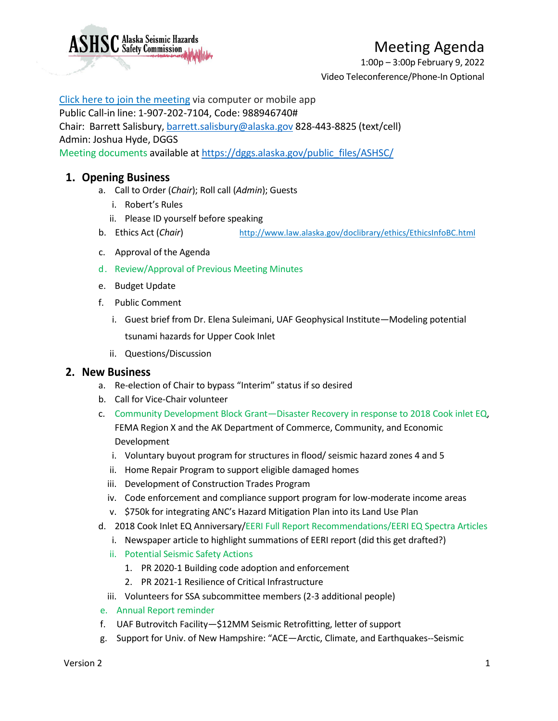

1:00p – 3:00p February 9, 2022 Video Teleconference/Phone-In Optional

### [Click here to join the meeting](https://teams.microsoft.com/l/meetup-join/19%3ameeting_ZmM0NzU1ZTYtOWNmOC00ODkyLWI2ZmMtMzEzYTdiNDg4NjM0%40thread.v2/0?context=%7b%22Tid%22%3a%2220030bf6-7ad9-42f7-9273-59ea83fcfa38%22%2c%22Oid%22%3a%228b75c69a-e4e5-4cbe-9ecf-7265248edc65%22%7d) via computer or mobile app

#### Public Call-in line: 1-907-202-7104, Code: 988946740#

Chair: Barrett Salisbury, [barrett.salisbury@alaska.gov](mailto:barrett.salisbury@alaska.gov) 828-443-8825 (text/cell)

Admin: Joshua Hyde, DGGS

**ASHSC** Alaska Seismic Hazards

Meeting documents available at [https://dggs.alaska.gov/public\\_files/ASHSC/](https://dggs.alaska.gov/public_files/ASHSC/)

## **1. Opening Business**

- a. Call to Order (*Chair*); Roll call (*Admin*); Guests
	- i. Robert's Rules
	- ii. Please ID yourself before speaking
- b. Ethics Act (*Chair*) <http://www.law.alaska.gov/doclibrary/ethics/EthicsInfoBC.html>
- c. Approval of the Agenda
- d. Review/Approval of Previous Meeting Minutes
- e. Budget Update
- f. Public Comment
	- i. Guest brief from Dr. Elena Suleimani, UAF Geophysical Institute—Modeling potential tsunami hazards for Upper Cook Inlet
	- ii. Questions/Discussion

### **2. New Business**

- a. Re-election of Chair to bypass "Interim" status if so desired
- b. Call for Vice-Chair volunteer
- c. Community Development Block Grant—Disaster Recovery in response to 2018 Cook inlet EQ, FEMA Region X and the AK Department of Commerce, Community, and Economic Development
	- i. Voluntary buyout program for structures in flood/ seismic hazard zones 4 and 5
	- ii. Home Repair Program to support eligible damaged homes
	- iii. Development of Construction Trades Program
	- iv. Code enforcement and compliance support program for low-moderate income areas
	- v. \$750k for integrating ANC's Hazard Mitigation Plan into its Land Use Plan
- d. 2018 Cook Inlet EQ Anniversary/EERI Full Report Recommendations/EERI EQ Spectra Articles
	- i. Newspaper article to highlight summations of EERI report (did this get drafted?)
	- ii. Potential Seismic Safety Actions
		- 1. PR 2020-1 Building code adoption and enforcement
		- 2. PR 2021-1 Resilience of Critical Infrastructure
	- iii. Volunteers for SSA subcommittee members (2-3 additional people)
- e. Annual Report reminder
- f. UAF Butrovitch Facility—\$12MM Seismic Retrofitting, letter of support
- g. Support for Univ. of New Hampshire: "ACE—Arctic, Climate, and Earthquakes--Seismic